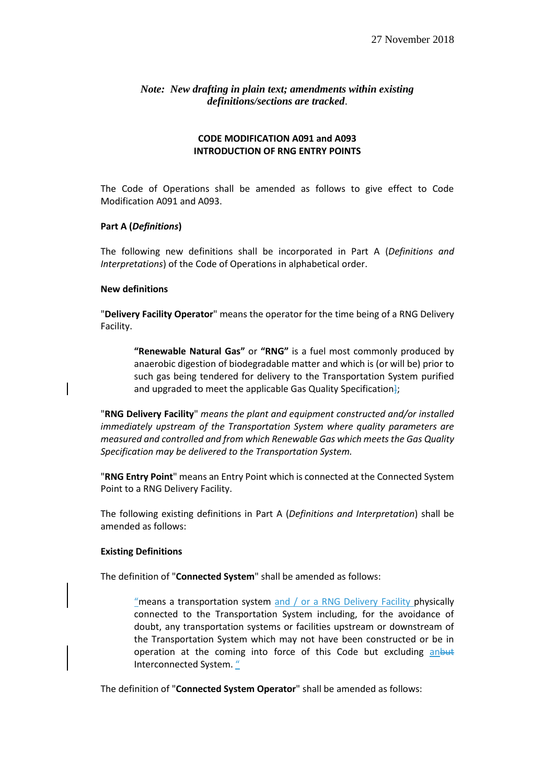## *Note: New drafting in plain text; amendments within existing definitions/sections are tracked*.

## **CODE MODIFICATION A091 and A093 INTRODUCTION OF RNG ENTRY POINTS**

The Code of Operations shall be amended as follows to give effect to Code Modification A091 and A093.

#### **Part A (***Definitions***)**

The following new definitions shall be incorporated in Part A (*Definitions and Interpretations*) of the Code of Operations in alphabetical order.

#### **New definitions**

"**Delivery Facility Operator**" means the operator for the time being of a RNG Delivery Facility.

**"Renewable Natural Gas"** or **"RNG"** is a fuel most commonly produced by anaerobic digestion of biodegradable matter and which is (or will be) prior to such gas being tendered for delivery to the Transportation System purified and upgraded to meet the applicable Gas Quality Specification-

"**RNG Delivery Facility**" *means the plant and equipment constructed and/or installed immediately upstream of the Transportation System where quality parameters are measured and controlled and from which Renewable Gas which meets the Gas Quality Specification may be delivered to the Transportation System.*

"**RNG Entry Point**" means an Entry Point which is connected at the Connected System Point to a RNG Delivery Facility.

The following existing definitions in Part A (*Definitions and Interpretation*) shall be amended as follows:

#### **Existing Definitions**

The definition of "**Connected System**" shall be amended as follows:

"means a transportation system and / or a RNG Delivery Facility physically connected to the Transportation System including, for the avoidance of doubt, any transportation systems or facilities upstream or downstream of the Transportation System which may not have been constructed or be in operation at the coming into force of this Code but excluding anbut Interconnected System. "

The definition of "**Connected System Operator**" shall be amended as follows: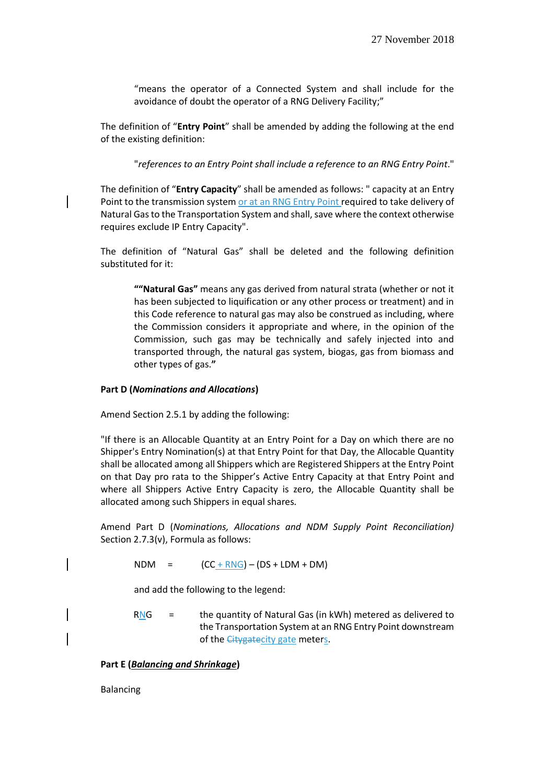"means the operator of a Connected System and shall include for the avoidance of doubt the operator of a RNG Delivery Facility;"

The definition of "**Entry Point**" shall be amended by adding the following at the end of the existing definition:

"*references to an Entry Point shall include a reference to an RNG Entry Point*."

The definition of "**Entry Capacity**" shall be amended as follows: " capacity at an Entry Point to the transmission system or at an RNG Entry Point required to take delivery of Natural Gas to the Transportation System and shall, save where the context otherwise requires exclude IP Entry Capacity".

The definition of "Natural Gas" shall be deleted and the following definition substituted for it:

**""Natural Gas"** means any gas derived from natural strata (whether or not it has been subjected to liquification or any other process or treatment) and in this Code reference to natural gas may also be construed as including, where the Commission considers it appropriate and where, in the opinion of the Commission, such gas may be technically and safely injected into and transported through, the natural gas system, biogas, gas from biomass and other types of gas.**"**

#### **Part D (***Nominations and Allocations***)**

Amend Section 2.5.1 by adding the following:

"If there is an Allocable Quantity at an Entry Point for a Day on which there are no Shipper's Entry Nomination(s) at that Entry Point for that Day, the Allocable Quantity shall be allocated among all Shippers which are Registered Shippers at the Entry Point on that Day pro rata to the Shipper's Active Entry Capacity at that Entry Point and where all Shippers Active Entry Capacity is zero, the Allocable Quantity shall be allocated among such Shippers in equal shares*.* 

Amend Part D (*Nominations, Allocations and NDM Supply Point Reconciliation)*  Section 2.7.3(v), Formula as follows:

 $NDM = (CC + RNG) - (DS + LDM + DM)$ 

and add the following to the legend:

 $RNG =$  the quantity of Natural Gas (in kWh) metered as delivered to the Transportation System at an RNG Entry Point downstream of the *Citygatecity* gate meters.

**Part E (***Balancing and Shrinkage***)** 

Balancing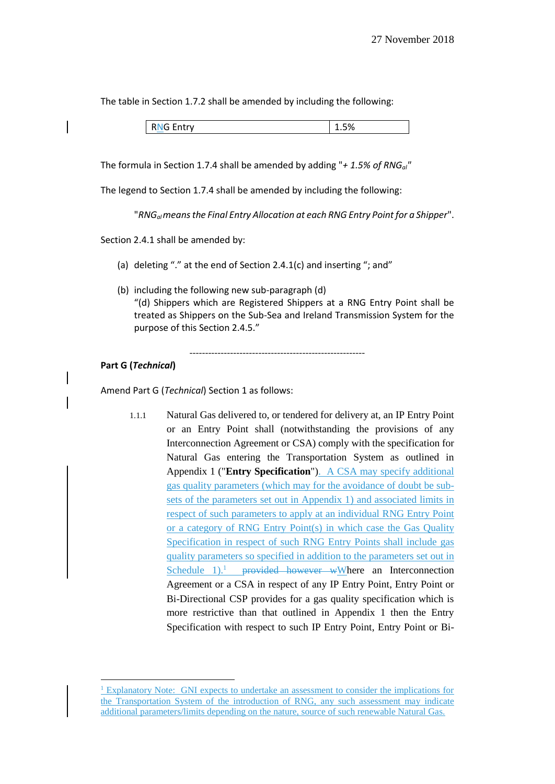The table in Section 1.7.2 shall be amended by including the following:

| <b>RNG Entry</b> | 1.5% |
|------------------|------|
|                  |      |

The formula in Section 1.7.4 shall be amended by adding "*+ 1.5% of RNGal"*

The legend to Section 1.7.4 shall be amended by including the following:

"*RNGal means the Final Entry Allocation at each RNG Entry Point for a Shipper*".

Section 2.4.1 shall be amended by:

- (a) deleting "." at the end of Section 2.4.1(c) and inserting "; and"
- (b) including the following new sub-paragraph (d) "(d) Shippers which are Registered Shippers at a RNG Entry Point shall be treated as Shippers on the Sub-Sea and Ireland Transmission System for the purpose of this Section 2.4.5."

--------------------------------------------------------

## **Part G (***Technical***)**

-

Amend Part G (*Technical*) Section 1 as follows:

1.1.1 Natural Gas delivered to, or tendered for delivery at, an IP Entry Point or an Entry Point shall (notwithstanding the provisions of any Interconnection Agreement or CSA) comply with the specification for Natural Gas entering the Transportation System as outlined in Appendix 1 ("**Entry Specification**"). A CSA may specify additional gas quality parameters (which may for the avoidance of doubt be subsets of the parameters set out in Appendix 1) and associated limits in respect of such parameters to apply at an individual RNG Entry Point or a category of RNG Entry Point(s) in which case the Gas Quality Specification in respect of such RNG Entry Points shall include gas quality parameters so specified in addition to the parameters set out in Schedule  $1$ ).<sup>1</sup> provided however wWhere an Interconnection Agreement or a CSA in respect of any IP Entry Point, Entry Point or Bi-Directional CSP provides for a gas quality specification which is more restrictive than that outlined in Appendix 1 then the Entry Specification with respect to such IP Entry Point, Entry Point or Bi-

<sup>1</sup> Explanatory Note: GNI expects to undertake an assessment to consider the implications for the Transportation System of the introduction of RNG, any such assessment may indicate additional parameters/limits depending on the nature, source of such renewable Natural Gas.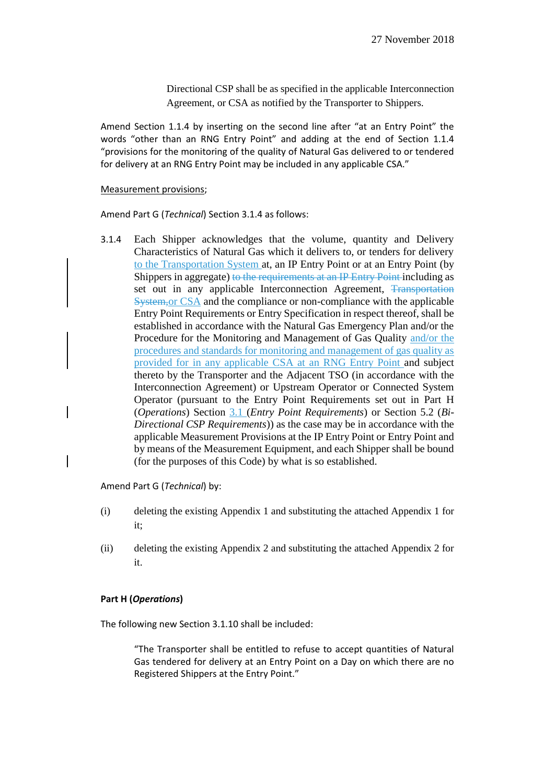Directional CSP shall be as specified in the applicable Interconnection Agreement, or CSA as notified by the Transporter to Shippers.

Amend Section 1.1.4 by inserting on the second line after "at an Entry Point" the words "other than an RNG Entry Point" and adding at the end of Section 1.1.4 "provisions for the monitoring of the quality of Natural Gas delivered to or tendered for delivery at an RNG Entry Point may be included in any applicable CSA."

#### Measurement provisions;

Amend Part G (*Technical*) Section 3.1.4 as follows:

3.1.4 Each Shipper acknowledges that the volume, quantity and Delivery Characteristics of Natural Gas which it delivers to, or tenders for delivery to the Transportation System at, an IP Entry Point or at an Entry Point (by Shippers in aggregate) to the requirements at an IP Entry Point including as set out in any applicable Interconnection Agreement, Transportation System,or CSA and the compliance or non-compliance with the applicable Entry Point Requirements or Entry Specification in respect thereof, shall be established in accordance with the Natural Gas Emergency Plan and/or the Procedure for the Monitoring and Management of Gas Quality and/or the procedures and standards for monitoring and management of gas quality as provided for in any applicable CSA at an RNG Entry Point and subject thereto by the Transporter and the Adjacent TSO (in accordance with the Interconnection Agreement) or Upstream Operator or Connected System Operator (pursuant to the Entry Point Requirements set out in Part H (*Operations*) Section 3.1 (*Entry Point Requirements*) or Section 5.2 (*Bi-Directional CSP Requirements*)) as the case may be in accordance with the applicable Measurement Provisions at the IP Entry Point or Entry Point and by means of the Measurement Equipment, and each Shipper shall be bound (for the purposes of this Code) by what is so established.

Amend Part G (*Technical*) by:

- (i) deleting the existing Appendix 1 and substituting the attached Appendix 1 for it;
- (ii) deleting the existing Appendix 2 and substituting the attached Appendix 2 for it.

## **Part H (***Operations***)**

The following new Section 3.1.10 shall be included:

"The Transporter shall be entitled to refuse to accept quantities of Natural Gas tendered for delivery at an Entry Point on a Day on which there are no Registered Shippers at the Entry Point."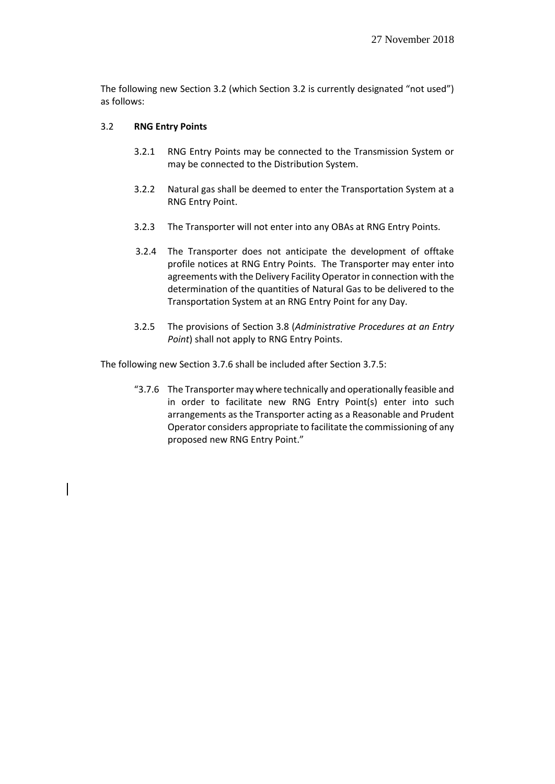The following new Section 3.2 (which Section 3.2 is currently designated "not used") as follows:

## 3.2 **RNG Entry Points**

- 3.2.1 RNG Entry Points may be connected to the Transmission System or may be connected to the Distribution System.
- 3.2.2 Natural gas shall be deemed to enter the Transportation System at a RNG Entry Point.
- 3.2.3 The Transporter will not enter into any OBAs at RNG Entry Points.
- 3.2.4 The Transporter does not anticipate the development of offtake profile notices at RNG Entry Points. The Transporter may enter into agreements with the Delivery Facility Operator in connection with the determination of the quantities of Natural Gas to be delivered to the Transportation System at an RNG Entry Point for any Day.
- 3.2.5 The provisions of Section 3.8 (*Administrative Procedures at an Entry Point*) shall not apply to RNG Entry Points.

The following new Section 3.7.6 shall be included after Section 3.7.5:

"3.7.6 The Transporter may where technically and operationally feasible and in order to facilitate new RNG Entry Point(s) enter into such arrangements as the Transporter acting as a Reasonable and Prudent Operator considers appropriate to facilitate the commissioning of any proposed new RNG Entry Point."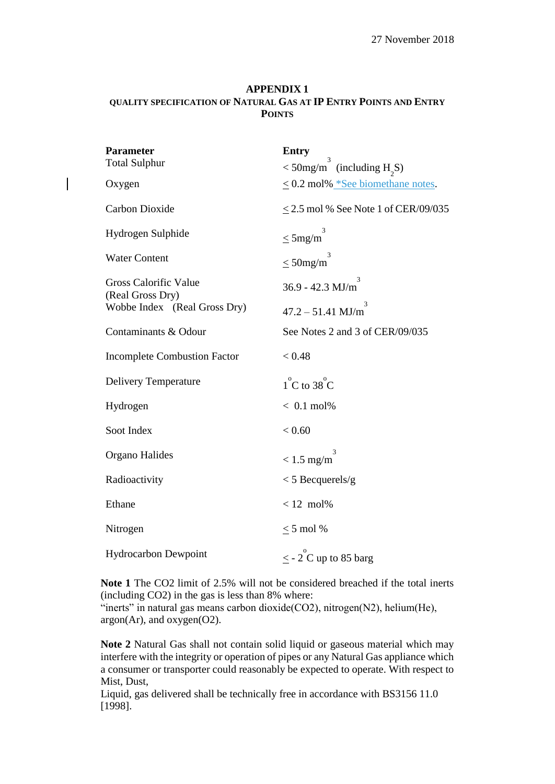## **APPENDIX 1 QUALITY SPECIFICATION OF NATURAL GAS AT IP ENTRY POINTS AND ENTRY POINTS**

| <b>Parameter</b><br><b>Total Sulphur</b>         | <b>Entry</b><br>3<br>$<$ 50mg/m (including H <sub>2</sub> S) |
|--------------------------------------------------|--------------------------------------------------------------|
| Oxygen                                           | $\leq$ 0.2 mol% *See biomethane notes.                       |
| Carbon Dioxide                                   | $\leq$ 2.5 mol % See Note 1 of CER/09/035                    |
| Hydrogen Sulphide                                | $\leq$ 5mg/m                                                 |
| <b>Water Content</b>                             | $<$ 50 mg/m                                                  |
| <b>Gross Calorific Value</b><br>(Real Gross Dry) | $36.9 - 42.3$ MJ/m                                           |
| Wobbe Index (Real Gross Dry)                     | 3<br>$47.2 - 51.41$ MJ/m                                     |
| Contaminants & Odour                             | See Notes 2 and 3 of CER/09/035                              |
| <b>Incomplete Combustion Factor</b>              | < 0.48                                                       |
| Delivery Temperature                             | $1^{\circ}$ C to 38 $^{\circ}$ C                             |
| Hydrogen                                         | $< 0.1$ mol%                                                 |
| Soot Index                                       | < 0.60                                                       |
| Organo Halides                                   | 3<br>$< 1.5$ mg/m                                            |
| Radioactivity                                    | $<$ 5 Becquerels/g                                           |
| Ethane                                           | $< 12$ mol%                                                  |
| Nitrogen                                         | $\leq$ 5 mol %                                               |
| <b>Hydrocarbon Dewpoint</b>                      | $\leq$ - 2 <sup>o</sup> C up to 85 barg                      |

**Note 1** The CO2 limit of 2.5% will not be considered breached if the total inerts (including CO2) in the gas is less than 8% where:

"inerts" in natural gas means carbon dioxide( $CO2$ ), nitrogen( $N2$ ), helium( $He$ ), argon(Ar), and oxygen(O2).

**Note 2** Natural Gas shall not contain solid liquid or gaseous material which may interfere with the integrity or operation of pipes or any Natural Gas appliance which a consumer or transporter could reasonably be expected to operate. With respect to Mist, Dust,

Liquid, gas delivered shall be technically free in accordance with BS3156 11.0 [1998].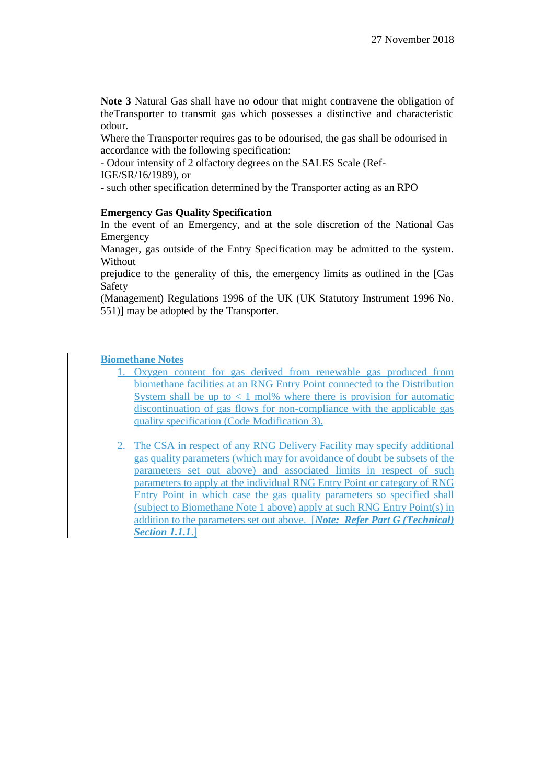**Note 3** Natural Gas shall have no odour that might contravene the obligation of theTransporter to transmit gas which possesses a distinctive and characteristic odour.

Where the Transporter requires gas to be odourised, the gas shall be odourised in accordance with the following specification:

- Odour intensity of 2 olfactory degrees on the SALES Scale (Ref-IGE/SR/16/1989), or

- such other specification determined by the Transporter acting as an RPO

## **Emergency Gas Quality Specification**

In the event of an Emergency, and at the sole discretion of the National Gas Emergency

Manager, gas outside of the Entry Specification may be admitted to the system. Without

prejudice to the generality of this, the emergency limits as outlined in the [Gas Safety

(Management) Regulations 1996 of the UK (UK Statutory Instrument 1996 No. 551)] may be adopted by the Transporter.

## **Biomethane Notes**

- 1. Oxygen content for gas derived from renewable gas produced from biomethane facilities at an RNG Entry Point connected to the Distribution System shall be up to  $\lt 1$  mol% where there is provision for automatic discontinuation of gas flows for non-compliance with the applicable gas quality specification (Code Modification 3).
- 2. The CSA in respect of any RNG Delivery Facility may specify additional gas quality parameters (which may for avoidance of doubt be subsets of the parameters set out above) and associated limits in respect of such parameters to apply at the individual RNG Entry Point or category of RNG Entry Point in which case the gas quality parameters so specified shall (subject to Biomethane Note 1 above) apply at such RNG Entry Point(s) in addition to the parameters set out above. [*Note: Refer Part G (Technical) Section 1.1.1*.]